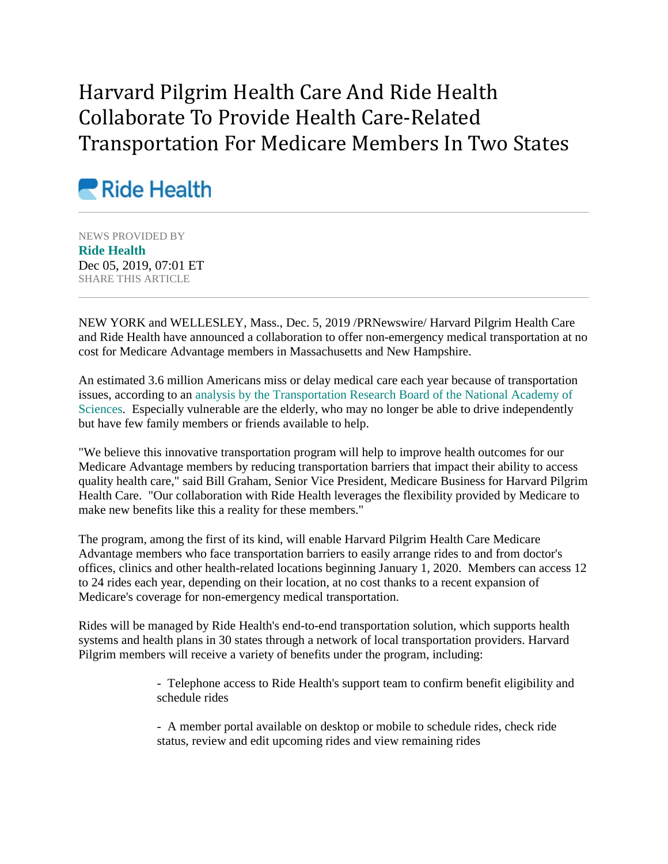## Harvard Pilgrim Health Care And Ride Health Collaborate To Provide Health Care-Related Transportation For Medicare Members In Two States



NEWS PROVIDED BY **[Ride Health](https://www.prnewswire.com/news/ride-health)** Dec 05, 2019, 07:01 ET SHARE THIS ARTICLE

NEW YORK and WELLESLEY, Mass., Dec. 5, 2019 /PRNewswire/ Harvard Pilgrim Health Care and Ride Health have announced a collaboration to offer non-emergency medical transportation at no cost for Medicare Advantage members in Massachusetts and New Hampshire.

An estimated 3.6 million Americans miss or delay medical care each year because of transportation issues, according to an [analysis by the Transportation Research Board](https://c212.net/c/link/?t=0&l=en&o=2661746-1&h=1527833015&u=https%3A%2F%2Faltarum.org%2Fsites%2Fdefault%2Ffiles%2Fuploaded-publication-files%2F05_project_report_hsd_cost_benefit_analysis.pdf&a=analysis+by+the+Transportation+Research+Board+of+the+National+Academy+of+Sciences) of the National Academy of [Sciences.](https://c212.net/c/link/?t=0&l=en&o=2661746-1&h=1527833015&u=https%3A%2F%2Faltarum.org%2Fsites%2Fdefault%2Ffiles%2Fuploaded-publication-files%2F05_project_report_hsd_cost_benefit_analysis.pdf&a=analysis+by+the+Transportation+Research+Board+of+the+National+Academy+of+Sciences) Especially vulnerable are the elderly, who may no longer be able to drive independently but have few family members or friends available to help.

"We believe this innovative transportation program will help to improve health outcomes for our Medicare Advantage members by reducing transportation barriers that impact their ability to access quality health care," said Bill Graham, Senior Vice President, Medicare Business for Harvard Pilgrim Health Care. "Our collaboration with Ride Health leverages the flexibility provided by Medicare to make new benefits like this a reality for these members."

The program, among the first of its kind, will enable Harvard Pilgrim Health Care Medicare Advantage members who face transportation barriers to easily arrange rides to and from doctor's offices, clinics and other health-related locations beginning January 1, 2020. Members can access 12 to 24 rides each year, depending on their location, at no cost thanks to a recent expansion of Medicare's coverage for non-emergency medical transportation.

Rides will be managed by Ride Health's end-to-end transportation solution, which supports health systems and health plans in 30 states through a network of local transportation providers. Harvard Pilgrim members will receive a variety of benefits under the program, including:

> - Telephone access to Ride Health's support team to confirm benefit eligibility and schedule rides

- A member portal available on desktop or mobile to schedule rides, check ride status, review and edit upcoming rides and view remaining rides